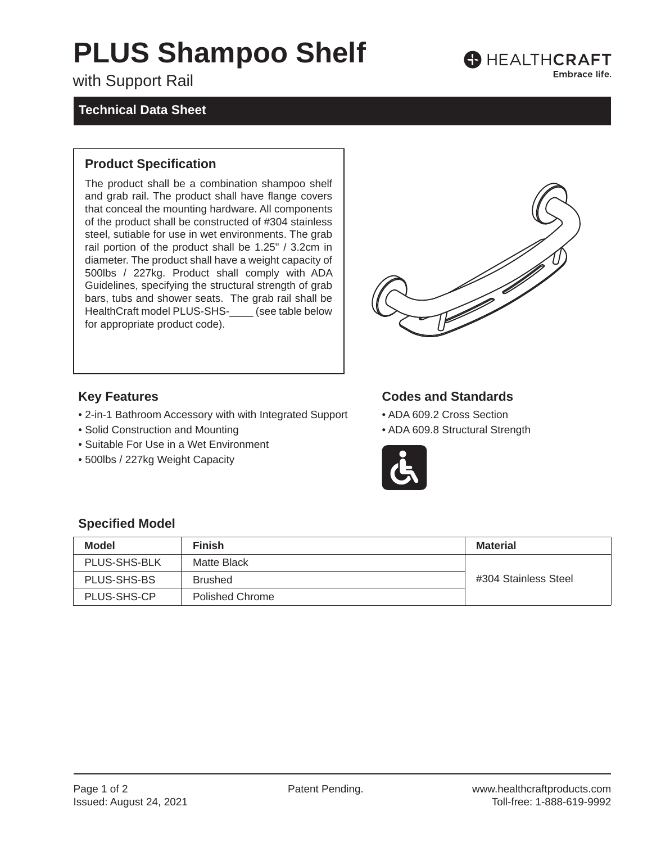# **PLUS Shampoo Shelf**

with Support Rail

## **Technical Data Sheet**

#### **Product Specification**

The product shall be a combination shampoo shelf and grab rail. The product shall have flange covers that conceal the mounting hardware. All components of the product shall be constructed of #304 stainless steel, sutiable for use in wet environments. The grab rail portion of the product shall be 1.25" / 3.2cm in diameter. The product shall have a weight capacity of 500lbs / 227kg. Product shall comply with ADA Guidelines, specifying the structural strength of grab bars, tubs and shower seats. The grab rail shall be HealthCraft model PLUS-SHS-\_\_\_\_ (see table below for appropriate product code).



**B** HEALTHCRAFT

Embrace life.

### **Key Features**

- 2-in-1 Bathroom Accessory with with Integrated Support
- Solid Construction and Mounting
- Suitable For Use in a Wet Environment
- 500lbs / 227kg Weight Capacity

## **Codes and Standards**

- ADA 609.2 Cross Section
- ADA 609.8 Structural Strength



#### **Specified Model**

| <b>Model</b> | <b>Finish</b>          | Material             |
|--------------|------------------------|----------------------|
| PLUS-SHS-BLK | Matte Black            |                      |
| PLUS-SHS-BS  | <b>Brushed</b>         | #304 Stainless Steel |
| PLUS-SHS-CP  | <b>Polished Chrome</b> |                      |